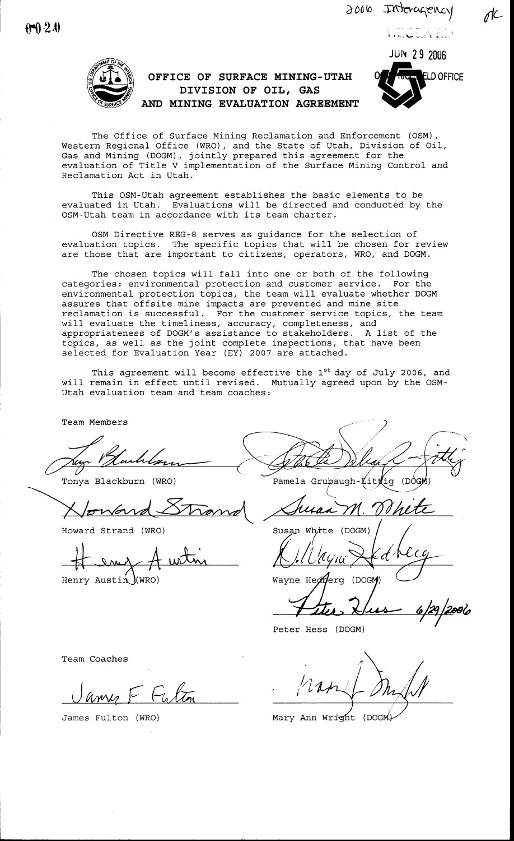**JUN 29 2006** 

HECENED



## OFFICE OF SURFACE MINING-UTAH DIVISION OF OIL, GAS AND MINING EVALUATION AGREEMENT



The Office of Surface Mining Reclamation and Enforcement (OSM), Western Regional Office (WRO), and the State of Utah, Division of Oil, Gas and Mining (DOGM), jointly prepared this agreement for the evaluation of Title V implementation of the Surface Mining Control and Reclamation Act in Utah.

This OSM-Utah agreement establishes the basic elements to be evaluated in Utah. Evaluations will be directed and conducted by the OSM-Utah team in accordance with its team charter.

OSM Directive REG-8 serves as guidance for the selection of evaluation topics. The specific topics that will be chosen for review are those that are important to citizens, operators, WRO, and DOGM.

The chosen topics will fall into one or both of the following categories: environmental protection and customer service. For the environmental protection topics, the team will evaluate whether DOGM assures that offsite mine impacts are prevented and mine site reclamation is successful. For the customer service topics, the team will evaluate the timeliness, accuracy, completeness, and appropriateness of DOGM's assistance to stakeholders. A list of the topics, as well as the joint complete inspections, that have been<br>selected for Evaluation Year (EY) 2007 are attached.

This agreement will become effective the 1<sup>st</sup> day of July 2006, and will remain in effect until revised. Mutually agreed upon by the OSM-Utah evaluation team and team coaches:

Team Members

Tonya Blackburn (WRO)

loward.

Howard Strand (WRO)

Henry Austin  $\frac{1}{W}$  (WRO)

Pamela Grubaugh-Litt ig (D

Susan White  $(DOGM)$ 

Wayne Hedderg (DOGM)

Peter Hess (DOGM)

Team Coaches

James Fulton (WRO)

Mary Ann Wright (DOGM